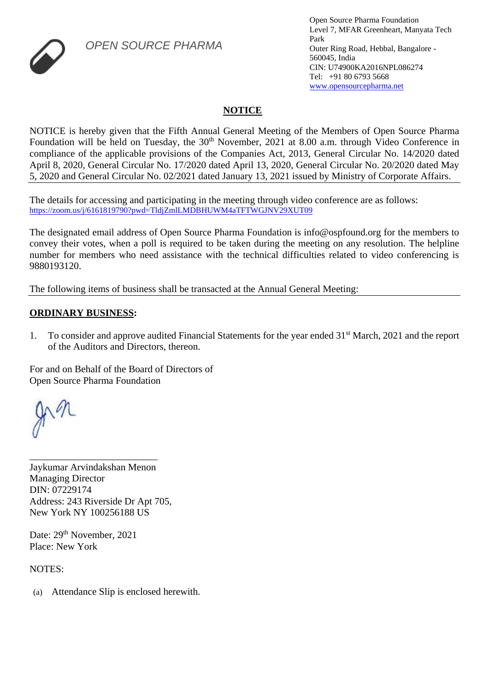

*OPEN SOURCE PHARMA*

## **NOTICE**

NOTICE is hereby given that the Fifth Annual General Meeting of the Members of Open Source Pharma Foundation will be held on Tuesday, the 30<sup>th</sup> November, 2021 at 8.00 a.m. through Video Conference in compliance of the applicable provisions of the Companies Act, 2013, General Circular No. 14/2020 dated April 8, 2020, General Circular No. 17/2020 dated April 13, 2020, General Circular No. 20/2020 dated May 5, 2020 and General Circular No. 02/2021 dated January 13, 2021 issued by Ministry of Corporate Affairs.

The details for accessing and participating in the meeting through video conference are as follows: [https://zoom.us/j/6161819790?pwd=TldjZmlLMDBHUWM4aTFTWGJNV29XUT09](https://www.google.com/url?q=https://zoom.us/j/6161819790?pwd%3DTldjZmlLMDBHUWM4aTFTWGJNV29XUT09&sa=D&source=calendar&ust=1639519325084447&usg=AOvVaw1tYFrc07m8pfxVjX5zrVxU)

The designated email address of Open Source Pharma Foundation is info@ospfound.org for the members to convey their votes, when a poll is required to be taken during the meeting on any resolution. The helpline number for members who need assistance with the technical difficulties related to video conferencing is 9880193120.

The following items of business shall be transacted at the Annual General Meeting:

## **ORDINARY BUSINESS:**

1. To consider and approve audited Financial Statements for the year ended 31st March, 2021 and the report of the Auditors and Directors, thereon.

For and on Behalf of the Board of Directors of Open Source Pharma Foundation

Jaykumar Arvindakshan Menon Managing Director DIN: 07229174 Address: 243 Riverside Dr Apt 705, New York NY 100256188 US

\_\_\_\_\_\_\_\_\_\_\_\_\_\_\_\_\_\_\_\_\_\_\_\_\_\_

Date: 29<sup>th</sup> November, 2021 Place: New York

NOTES:

(a) Attendance Slip is enclosed herewith.